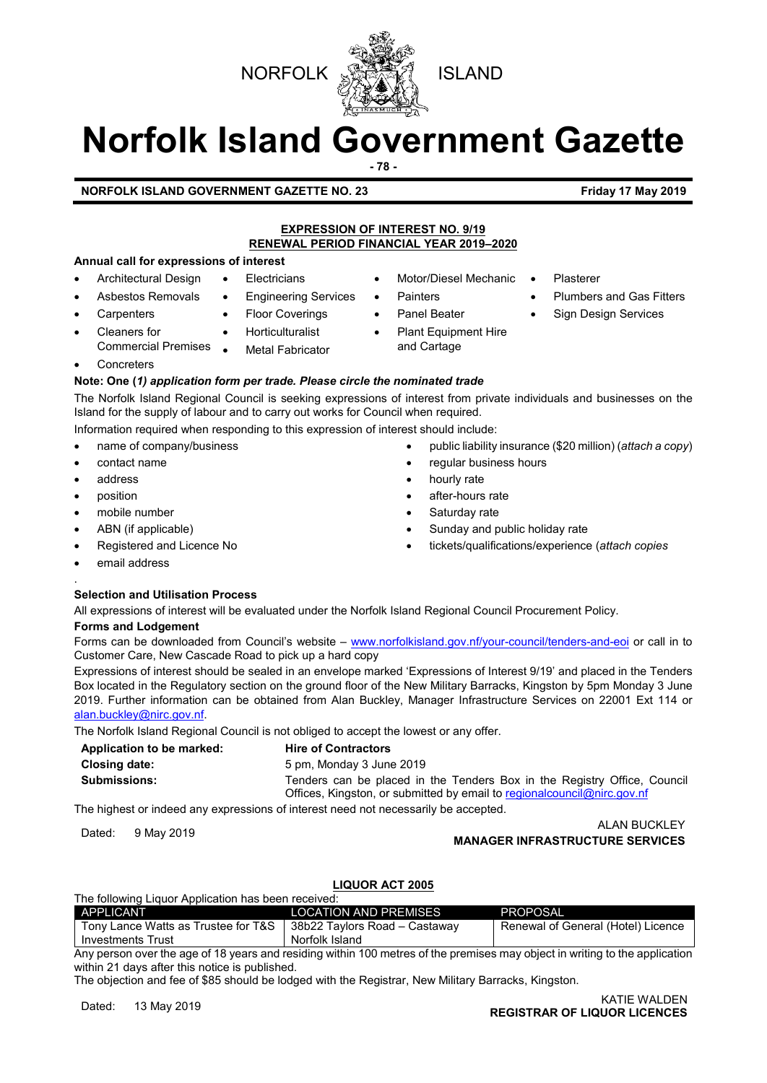

# **Norfolk Island Government Gazette**

**- 78 -**

**NORFOLK ISLAND GOVERNMENT GAZETTE NO. 23 Friday 17 May 2019**

#### **EXPRESSION OF INTEREST NO. 9/19 RENEWAL PERIOD FINANCIAL YEAR 2019–2020**

#### **Annual call for expressions of interest**

- Architectural Design
- Asbestos Removals
- Engineering Services

• Electricians

- **Carpenters**
- **Floor Coverings Horticulturalist**
- Cleaners for Commercial Premises **Concreters** 
	- **Metal Fabricator**
	-

#### **Note: One (***1) application form per trade. Please circle the nominated trade*

The Norfolk Island Regional Council is seeking expressions of interest from private individuals and businesses on the Island for the supply of labour and to carry out works for Council when required. Information required when responding to this expression of interest should include:

- name of company/business
- contact name
- address
- position
- mobile number
- ABN (if applicable)
- Registered and Licence No
- email address

#### . **Selection and Utilisation Process**

All expressions of interest will be evaluated under the Norfolk Island Regional Council Procurement Policy.

#### **Forms and Lodgement**

Forms can be downloaded from Council's website – [www.norfolkisland.gov.nf/your-council/tenders-and-eoi](http://www.norfolkisland.gov.nf/your-council/tenders-and-eoi) or call in to Customer Care, New Cascade Road to pick up a hard copy

Expressions of interest should be sealed in an envelope marked 'Expressions of Interest 9/19' and placed in the Tenders Box located in the Regulatory section on the ground floor of the New Military Barracks, Kingston by 5pm Monday 3 June 2019. Further information can be obtained from Alan Buckley, Manager Infrastructure Services on 22001 Ext 114 or [alan.buckley@nirc.gov.nf.](mailto:alan.buckley@nirc.gov.nf) 

The Norfolk Island Regional Council is not obliged to accept the lowest or any offer.

| Application to be marked: | <b>Hire of Contractors</b>                                                                                                                            |
|---------------------------|-------------------------------------------------------------------------------------------------------------------------------------------------------|
| Closing date:             | 5 pm, Monday 3 June 2019                                                                                                                              |
| <b>Submissions:</b>       | Tenders can be placed in the Tenders Box in the Registry Office, Council<br>Offices, Kingston, or submitted by email to regional council @nirc.gov.nf |
|                           | Flag latels and are the distribution of consequent on the following of the second results in a second second and                                      |

The highest or indeed any expressions of interest need not necessarily be accepted.

### ALAN BUCKLEY<br>MANAGER INFRASTRUCTURE SERVICES

### **LIQUOR ACT 2005**

| The following Liquor Application has been received: |                               |                                    |  |  |  |
|-----------------------------------------------------|-------------------------------|------------------------------------|--|--|--|
| APPLICANT                                           | <b>LOCATION AND PREMISES</b>  | PROPOSAL                           |  |  |  |
| Tony Lance Watts as Trustee for T&S                 | 38b22 Taylors Road – Castaway | Renewal of General (Hotel) Licence |  |  |  |
| Investments Trust                                   | Norfolk Island                |                                    |  |  |  |

Any person over the age of 18 years and residing within 100 metres of the premises may object in writing to the application within 21 days after this notice is published.

The objection and fee of \$85 should be lodged with the Registrar, New Military Barracks, Kingston.

## KATIE WALDEN<br>**REGISTRAR OF LIQUOR LICENCES** (KATIE WALDEN

• Plasterer

- Plumbers and Gas Fitters
- **Sign Design Services**
- 

• public liability insurance (\$20 million) (*attach a copy*)

• tickets/qualifications/experience (*attach copies*

regular business hours

Sunday and public holiday rate

hourly rate after-hours rate Saturday rate

Panel Beater • Plant Equipment Hire and Cartage

**Painters** 

• Motor/Diesel Mechanic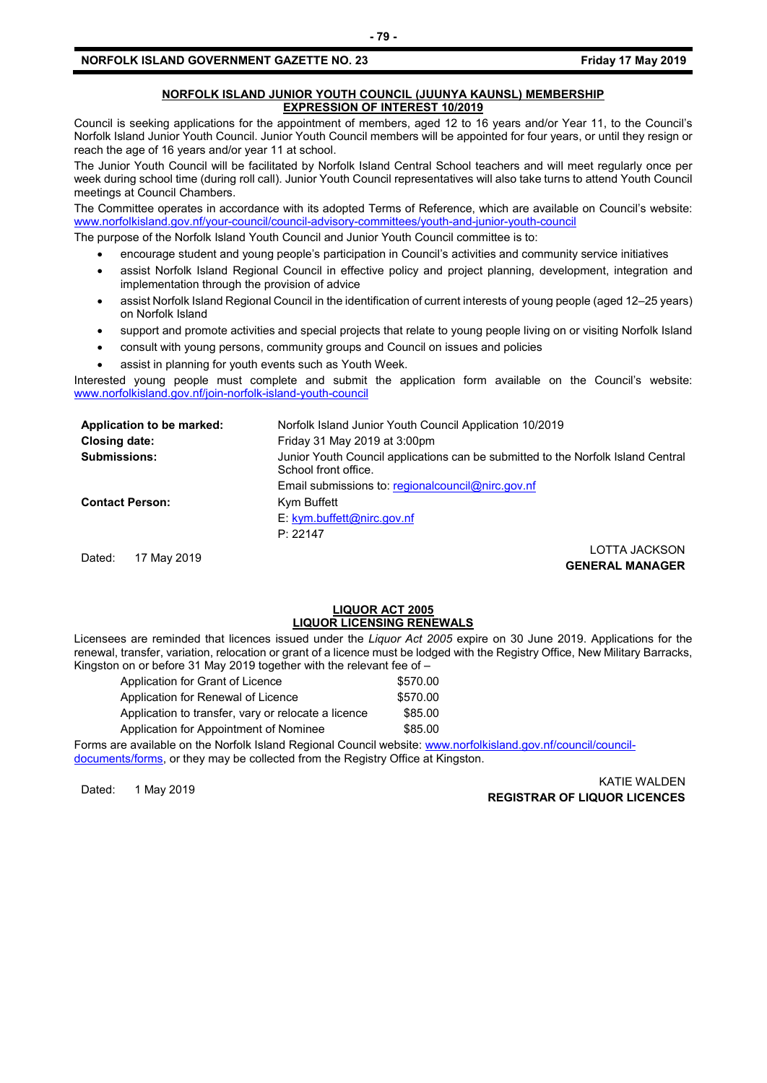#### **NORFOLK ISLAND JUNIOR YOUTH COUNCIL (JUUNYA KAUNSL) MEMBERSHIP EXPRESSION OF INTEREST 10/2019**

Council is seeking applications for the appointment of members, aged 12 to 16 years and/or Year 11, to the Council's Norfolk Island Junior Youth Council. Junior Youth Council members will be appointed for four years, or until they resign or reach the age of 16 years and/or year 11 at school.

The Junior Youth Council will be facilitated by Norfolk Island Central School teachers and will meet regularly once per week during school time (during roll call). Junior Youth Council representatives will also take turns to attend Youth Council meetings at Council Chambers.

The Committee operates in accordance with its adopted Terms of Reference, which are available on Council's website: [www.norfolkisland.gov.nf/your-council/council-advisory-committees/youth-and-junior-youth-council](http://www.norfolkisland.gov.nf/your-council/council-advisory-committees/youth-and-junior-youth-council)

The purpose of the Norfolk Island Youth Council and Junior Youth Council committee is to:

- encourage student and young people's participation in Council's activities and community service initiatives
- assist Norfolk Island Regional Council in effective policy and project planning, development, integration and implementation through the provision of advice
- assist Norfolk Island Regional Council in the identification of current interests of young people (aged 12–25 years) on Norfolk Island
- support and promote activities and special projects that relate to young people living on or visiting Norfolk Island
- consult with young persons, community groups and Council on issues and policies
- assist in planning for youth events such as Youth Week.

Interested young people must complete and submit the application form available on the Council's website: [www.norfolkisland.gov.nf/join-norfolk-island-youth-council](http://www.norfolkisland.gov.nf/join-norfolk-island-youth-council)

| Application to be marked: | Norfolk Island Junior Youth Council Application 10/2019                                                  |
|---------------------------|----------------------------------------------------------------------------------------------------------|
| <b>Closing date:</b>      | Friday 31 May 2019 at 3:00pm                                                                             |
| <b>Submissions:</b>       | Junior Youth Council applications can be submitted to the Norfolk Island Central<br>School front office. |
|                           | Email submissions to: regional council @nirc.gov.nf                                                      |
| <b>Contact Person:</b>    | Kym Buffett                                                                                              |
|                           | $E:$ kym.buffett@nirc.gov.nf                                                                             |
|                           | P: 22147                                                                                                 |
|                           | LOTTA JACKSON                                                                                            |
| 17 May 2019<br>Dated:     | AFIIFDAI MAIILAFD                                                                                        |

**GENERAL MANAGER**

#### **LIQUOR ACT 2005 LIQUOR LICENSING RENEWALS**

Licensees are reminded that licences issued under the *Liquor Act 2005* expire on 30 June 2019. Applications for the renewal, transfer, variation, relocation or grant of a licence must be lodged with the Registry Office, New Military Barracks, Kingston on or before 31 May 2019 together with the relevant fee of –

| Application for Grant of Licence                    | \$570.00 |
|-----------------------------------------------------|----------|
| Application for Renewal of Licence                  | \$570.00 |
| Application to transfer, vary or relocate a licence | \$85.00  |
| Application for Appointment of Nominee              | \$85.00  |

Forms are available on the Norfolk Island Regional Council website: [www.norfolkisland.gov.nf/council/council](http://www.norfolkisland.gov.nf/council/council-documents/forms)[documents/forms,](http://www.norfolkisland.gov.nf/council/council-documents/forms) or they may be collected from the Registry Office at Kingston.

KATIE WALDEN<br>**REGISTRAR OF LIQUOR LICENCES**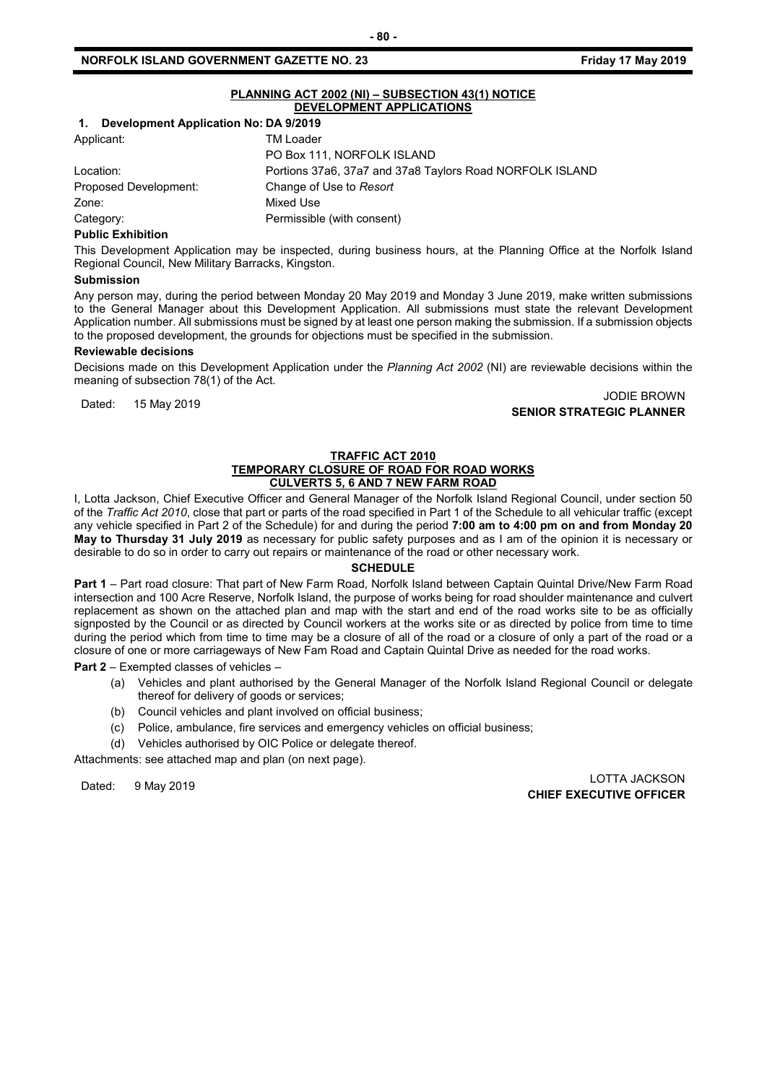|                                                         | PLANNING ACT 2002 (NI) - SUBSECTION 43(1) NOTICE<br>DEVELOPMENT APPLICATIONS |  |
|---------------------------------------------------------|------------------------------------------------------------------------------|--|
| Development Application No: DA 9/2019<br>$\mathbf{1}$ . |                                                                              |  |
| Applicant:                                              | TM Loader                                                                    |  |
|                                                         | PO Box 111, NORFOLK ISLAND                                                   |  |
| Location:                                               | Portions 37a6, 37a7 and 37a8 Taylors Road NORFOLK ISLAND                     |  |
| Proposed Development:                                   | Change of Use to Resort                                                      |  |
| Zone:                                                   | Mixed Use                                                                    |  |
| Category:                                               | Permissible (with consent)                                                   |  |

#### **Public Exhibition**

This Development Application may be inspected, during business hours, at the Planning Office at the Norfolk Island Regional Council, New Military Barracks, Kingston.

#### **Submission**

Any person may, during the period between Monday 20 May 2019 and Monday 3 June 2019, make written submissions to the General Manager about this Development Application. All submissions must state the relevant Development Application number. All submissions must be signed by at least one person making the submission. If a submission objects to the proposed development, the grounds for objections must be specified in the submission.

#### **Reviewable decisions**

Decisions made on this Development Application under the *Planning Act 2002* (NI) are reviewable decisions within the meaning of subsection 78(1) of the Act.

Dated: 15 May 2019<br>Dated: 15 May 2019 JODIE BROWN **SENIOR STRATEGIC PLANNER** 

#### **TRAFFIC ACT 2010 TEMPORARY CLOSURE OF ROAD FOR ROAD WORKS CULVERTS 5, 6 AND 7 NEW FARM ROAD**

I, Lotta Jackson, Chief Executive Officer and General Manager of the Norfolk Island Regional Council, under section 50 of the *Traffic Act 2010*, close that part or parts of the road specified in Part 1 of the Schedule to all vehicular traffic (except any vehicle specified in Part 2 of the Schedule) for and during the period **7:00 am to 4:00 pm on and from Monday 20 May to Thursday 31 July 2019** as necessary for public safety purposes and as I am of the opinion it is necessary or desirable to do so in order to carry out repairs or maintenance of the road or other necessary work.

#### **SCHEDULE**

**Part 1** – Part road closure: That part of New Farm Road, Norfolk Island between Captain Quintal Drive/New Farm Road intersection and 100 Acre Reserve, Norfolk Island, the purpose of works being for road shoulder maintenance and culvert replacement as shown on the attached plan and map with the start and end of the road works site to be as officially signposted by the Council or as directed by Council workers at the works site or as directed by police from time to time during the period which from time to time may be a closure of all of the road or a closure of only a part of the road or a closure of one or more carriageways of New Fam Road and Captain Quintal Drive as needed for the road works.

#### **Part 2** – Exempted classes of vehicles –

- (a) Vehicles and plant authorised by the General Manager of the Norfolk Island Regional Council or delegate thereof for delivery of goods or services;
- (b) Council vehicles and plant involved on official business;
- (c) Police, ambulance, fire services and emergency vehicles on official business;
- (d) Vehicles authorised by OIC Police or delegate thereof.

Attachments: see attached map and plan (on next page).

LOTTA JACKSON های است.<br>Curr ryrcuture of light **CHIEF EXECUTIVE OFFICER**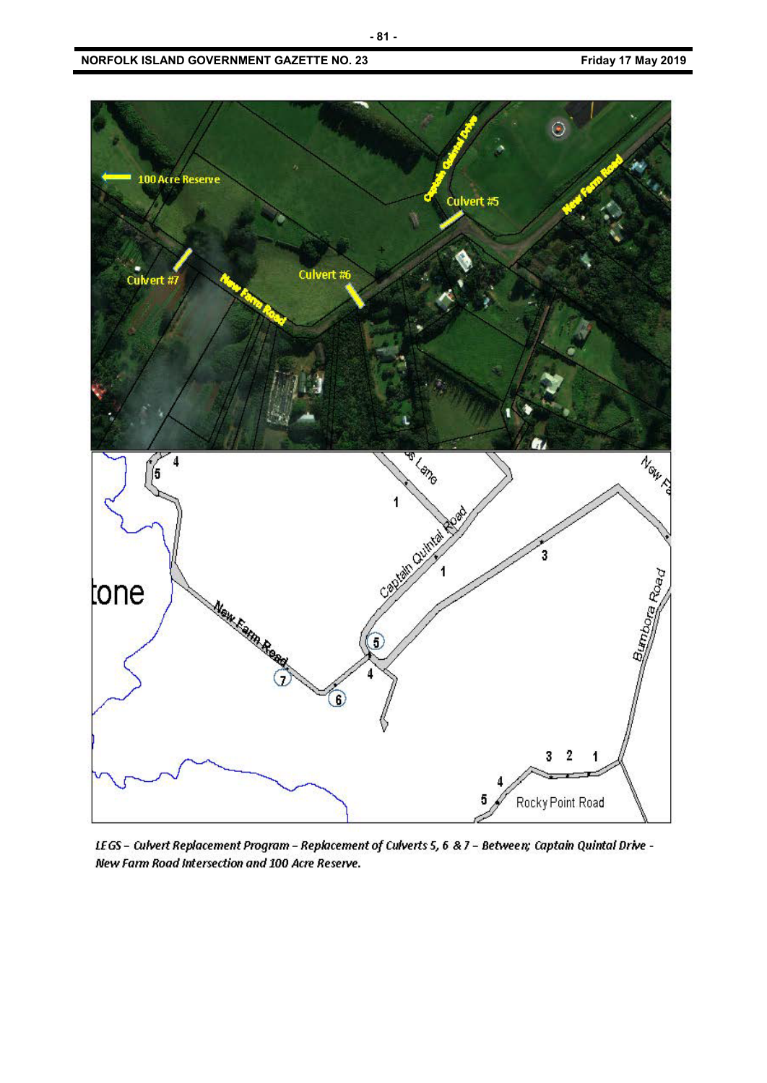

LEGS - Culvert Replacement Program - Replacement of Culverts 5, 6 & 7 - Between; Captain Quintal Drive -New Farm Road Intersection and 100 Acre Reserve.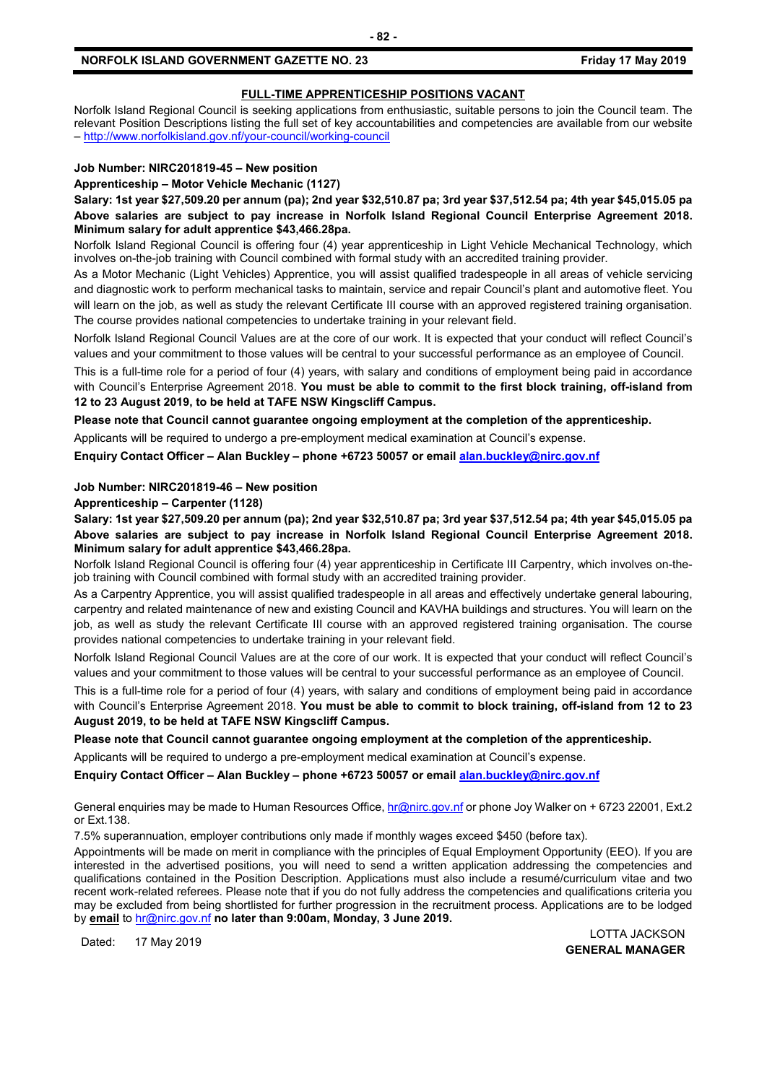#### **FULL-TIME APPRENTICESHIP POSITIONS VACANT**

Norfolk Island Regional Council is seeking applications from enthusiastic, suitable persons to join the Council team. The relevant Position Descriptions listing the full set of key accountabilities and competencies are available from our website – <http://www.norfolkisland.gov.nf/your-council/working-council>

#### **Job Number: NIRC201819-45 – New position**

**Apprenticeship – Motor Vehicle Mechanic (1127)** 

**Salary: 1st year \$27,509.20 per annum (pa); 2nd year \$32,510.87 pa; 3rd year \$37,512.54 pa; 4th year \$45,015.05 pa Above salaries are subject to pay increase in Norfolk Island Regional Council Enterprise Agreement 2018. Minimum salary for adult apprentice \$43,466.28pa.**

Norfolk Island Regional Council is offering four (4) year apprenticeship in Light Vehicle Mechanical Technology, which involves on-the-job training with Council combined with formal study with an accredited training provider.

As a Motor Mechanic (Light Vehicles) Apprentice, you will assist qualified tradespeople in all areas of vehicle servicing and diagnostic work to perform mechanical tasks to maintain, service and repair Council's plant and automotive fleet. You will learn on the job, as well as study the relevant Certificate III course with an approved registered training organisation. The course provides national competencies to undertake training in your relevant field.

Norfolk Island Regional Council Values are at the core of our work. It is expected that your conduct will reflect Council's values and your commitment to those values will be central to your successful performance as an employee of Council.

This is a full-time role for a period of four (4) years, with salary and conditions of employment being paid in accordance with Council's Enterprise Agreement 2018. **You must be able to commit to the first block training, off-island from 12 to 23 August 2019, to be held at TAFE NSW Kingscliff Campus.** 

**Please note that Council cannot guarantee ongoing employment at the completion of the apprenticeship.** 

Applicants will be required to undergo a pre-employment medical examination at Council's expense.

**Enquiry Contact Officer – Alan Buckley – phone +6723 50057 or email [alan.buckley@nirc.gov.nf](mailto:alan.buckley@nirc.gov.nf)**

#### **Job Number: NIRC201819-46 – New position**

#### **Apprenticeship – Carpenter (1128)**

**Salary: 1st year \$27,509.20 per annum (pa); 2nd year \$32,510.87 pa; 3rd year \$37,512.54 pa; 4th year \$45,015.05 pa Above salaries are subject to pay increase in Norfolk Island Regional Council Enterprise Agreement 2018. Minimum salary for adult apprentice \$43,466.28pa.**

Norfolk Island Regional Council is offering four (4) year apprenticeship in Certificate III Carpentry, which involves on-thejob training with Council combined with formal study with an accredited training provider.

As a Carpentry Apprentice, you will assist qualified tradespeople in all areas and effectively undertake general labouring, carpentry and related maintenance of new and existing Council and KAVHA buildings and structures. You will learn on the job, as well as study the relevant Certificate III course with an approved registered training organisation. The course provides national competencies to undertake training in your relevant field.

Norfolk Island Regional Council Values are at the core of our work. It is expected that your conduct will reflect Council's values and your commitment to those values will be central to your successful performance as an employee of Council.

This is a full-time role for a period of four (4) years, with salary and conditions of employment being paid in accordance with Council's Enterprise Agreement 2018. **You must be able to commit to block training, off-island from 12 to 23 August 2019, to be held at TAFE NSW Kingscliff Campus.** 

#### **Please note that Council cannot guarantee ongoing employment at the completion of the apprenticeship.**

Applicants will be required to undergo a pre-employment medical examination at Council's expense.

**Enquiry Contact Officer – Alan Buckley – phone +6723 50057 or email [alan.buckley@nirc.gov.nf](mailto:alan.buckley@nirc.gov.nf)**

General enquiries may be made to Human Resources Office[, hr@nirc.gov.nf](mailto:hr@nirc.gov.nf) or phone Joy Walker on + 6723 22001, Ext.2 or Ext.138.

7.5% superannuation, employer contributions only made if monthly wages exceed \$450 (before tax).

Appointments will be made on merit in compliance with the principles of Equal Employment Opportunity (EEO). If you are interested in the advertised positions, you will need to send a written application addressing the competencies and qualifications contained in the Position Description. Applications must also include a resumé/curriculum vitae and two recent work-related referees. Please note that if you do not fully address the competencies and qualifications criteria you may be excluded from being shortlisted for further progression in the recruitment process. Applications are to be lodged by **email** to [hr@nirc.gov.nf](mailto:hr@nirc.gov.nf) **no later than 9:00am, Monday, 3 June 2019.** 

Dated: 17 May 2019 LOTTA JACKSON **GENERAL MANAGER**